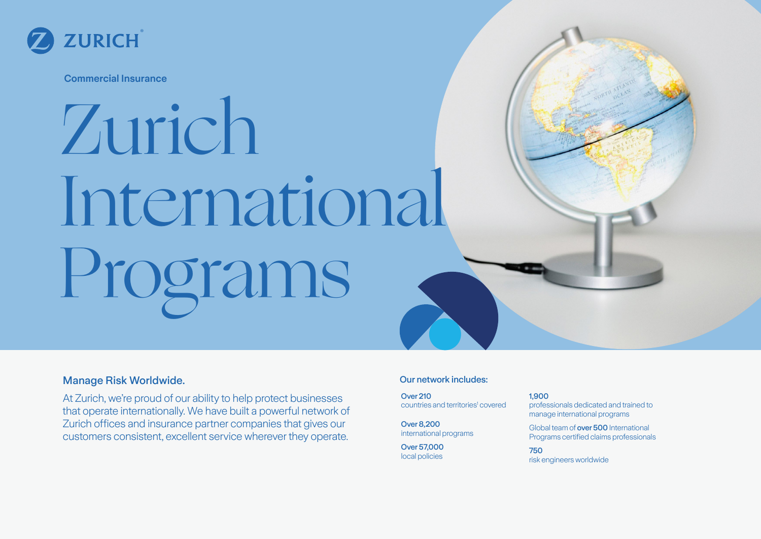

**Commercial Insurance**

# Zurich International Programs

### **Manage Risk Worldwide.** The contract of the contract of the contract of the contract of the contract of the contract of the contract of the contract of the contract of the contract of the contract of the contract of the c

At Zurich, we're proud of our ability to help protect businesses that operate internationally. We have built a powerful network of Zurich offices and insurance partner companies that gives our customers consistent, excellent service wherever they operate.

Over 210 countries and territories<sup>1</sup> covered

Over 8,200 international programs

Over 57,000 local policies

#### 1,900 professionals dedicated and trained to manage international programs

Global team of over 500 International Programs certified claims professionals

750 risk engineers worldwide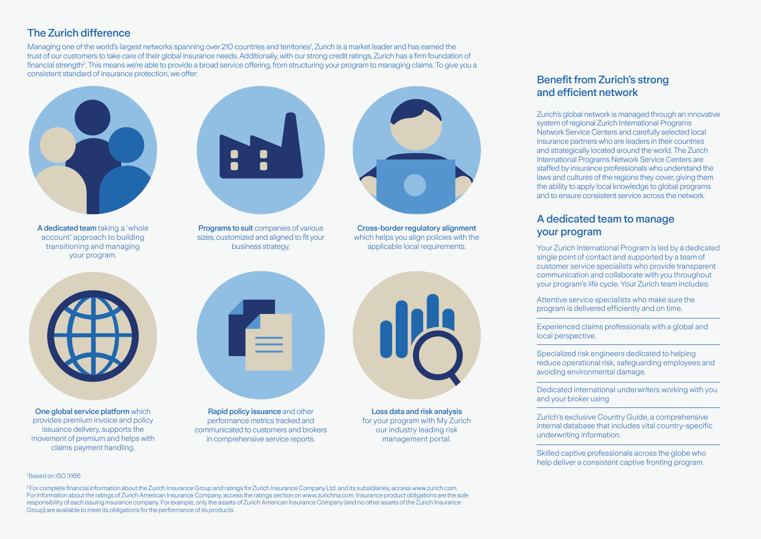## The Zurich difference

Managing one of the world's largest networks spanning over 210 countries and territories', Zurich is a market leader and has earned the trust of our customers to take care of their global insurance needs. Additionally, with our strong credit ratings, Zurich has a firm foundation of financial strength?. This means we're able to provide a broad service offering, from structuring your program to managing claims. To give you a consistent standard of insurance protection, we offer:



A dedicated team taking a 'whole account' approach to building transitioning and managing your program.



Programs to suit companies of various sizes, customized and aligned to fit your business strategy.



Cross-border regulatory alignment which helps you align policies with the applicable local requirements.



One global service platform which provides premium invoice and policy issuance delivery, supports the movement of premium and helps with claims payment handling.



Rapid policy issuance and other performance metrics tracked and communicated to customers and brokers in comprehensive service reports.



Loss data and risk analysis for your program with My Zurich our industry leading risk management portal.

#### Benefit from Zurich's strong and efficient network

Zurich's global network is managed through an innovative system of regional Zurich International Programs Network Service Centers and carefully selected local insurance partners who are leaders in their countries and strategically located around the world. The Zurich International Programs Network Service Centers are staffed by insurance professionals who understand the laws and cultures of the regions they cover, giving them the ability to apply local knowledge to global programs and to ensure consistent service across the network.

#### A dedicated team to manage your program

Your Zurich International Program is led by a dedicated single point of contact and supported by a team of customer service specialists who provide transparent communication and collaborate with you throughout your program's life cycle. Your Zurich team includes:

Attentive service specialists who make sure the program is delivered efficiently and on time.

Experienced claims professionals with a global and local perspective.

Specialized risk engineers dedicated to helping reduce operational risk, safeguarding employees and avoiding environmental damage.

Dedicated international underwriters working with you and your broker using

Zurich's exclusive Country Guide, a comprehensive internal database that includes vital country-specific underwriting information.

Skilled captive professionals across the globe who help deliver a consistent captive fronting program.

#### 1 Based on ISO 3166

<sup>2</sup> For complete financial information about the Zurich Insurance Group and ratings for Zurich Insurance Company Ltd. and its subsidiaries, access www.zurich.com. For information about the ratings of Zurich American Insurance Company, access the ratings section on www.zurichna.com. Insurance product obligations are the sole responsibility of each issuing insurance company. For example, only the assets of Zurich American Insurance Company (and no other assets of the Zurich Insurance Group) are available to meet its obligations for the performance of its products.